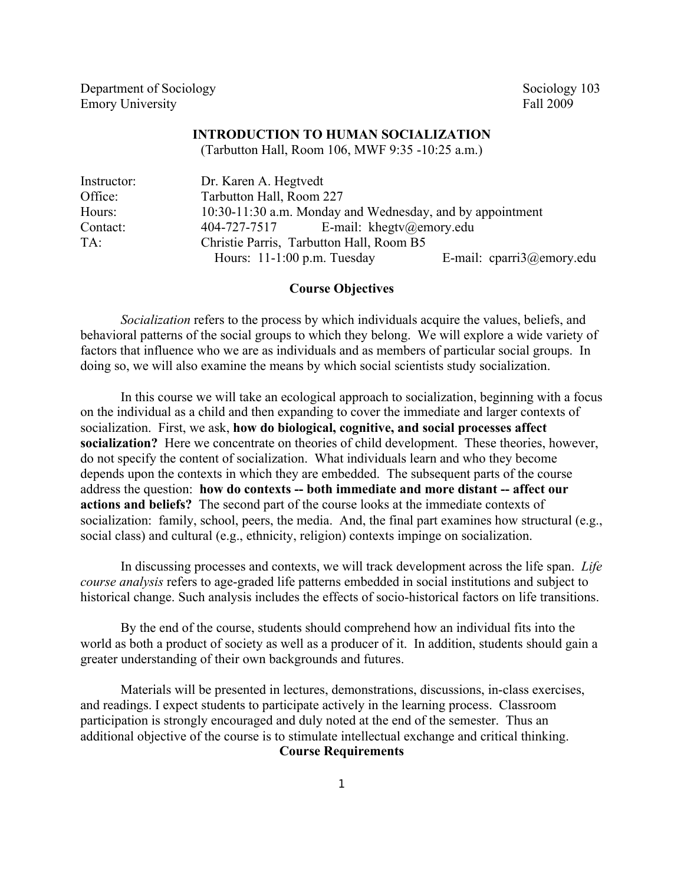Department of Sociology Sociology Sociology 103 Emory University Fall 2009

### **INTRODUCTION TO HUMAN SOCIALIZATION**

(Tarbutton Hall, Room 106, MWF 9:35 -10:25 a.m.)

| Instructor: | Dr. Karen A. Hegtvedt                                     |                           |  |  |  |
|-------------|-----------------------------------------------------------|---------------------------|--|--|--|
| Office:     | Tarbutton Hall, Room 227                                  |                           |  |  |  |
| Hours:      | 10:30-11:30 a.m. Monday and Wednesday, and by appointment |                           |  |  |  |
| Contact:    | E-mail: khegtv@emory.edu<br>404-727-7517                  |                           |  |  |  |
| $TA$ :      | Christie Parris, Tarbutton Hall, Room B5                  |                           |  |  |  |
|             | Hours: $11-1:00$ p.m. Tuesday                             | E-mail: cparri3@emory.edu |  |  |  |

### **Course Objectives**

*Socialization* refers to the process by which individuals acquire the values, beliefs, and behavioral patterns of the social groups to which they belong. We will explore a wide variety of factors that influence who we are as individuals and as members of particular social groups. In doing so, we will also examine the means by which social scientists study socialization.

In this course we will take an ecological approach to socialization, beginning with a focus on the individual as a child and then expanding to cover the immediate and larger contexts of socialization. First, we ask, **how do biological, cognitive, and social processes affect socialization?** Here we concentrate on theories of child development. These theories, however, do not specify the content of socialization. What individuals learn and who they become depends upon the contexts in which they are embedded. The subsequent parts of the course address the question: **how do contexts -- both immediate and more distant -- affect our actions and beliefs?** The second part of the course looks at the immediate contexts of socialization: family, school, peers, the media. And, the final part examines how structural (e.g., social class) and cultural (e.g., ethnicity, religion) contexts impinge on socialization.

In discussing processes and contexts, we will track development across the life span. *Life course analysis* refers to age-graded life patterns embedded in social institutions and subject to historical change. Such analysis includes the effects of socio-historical factors on life transitions.

By the end of the course, students should comprehend how an individual fits into the world as both a product of society as well as a producer of it. In addition, students should gain a greater understanding of their own backgrounds and futures.

Materials will be presented in lectures, demonstrations, discussions, in-class exercises, and readings. I expect students to participate actively in the learning process. Classroom participation is strongly encouraged and duly noted at the end of the semester. Thus an additional objective of the course is to stimulate intellectual exchange and critical thinking. **Course Requirements**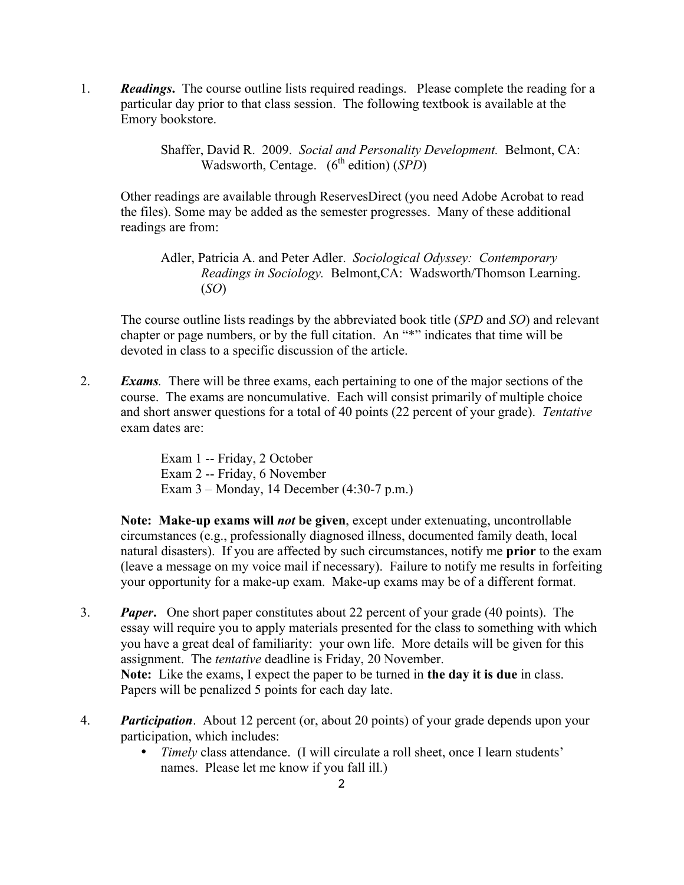1. *Readings***.** The course outline lists required readings. Please complete the reading for a particular day prior to that class session. The following textbook is available at the Emory bookstore.

> Shaffer, David R. 2009. *Social and Personality Development.* Belmont, CA: Wadsworth, Centage. (6<sup>th</sup> edition) (*SPD*)

Other readings are available through ReservesDirect (you need Adobe Acrobat to read the files). Some may be added as the semester progresses. Many of these additional readings are from:

Adler, Patricia A. and Peter Adler. *Sociological Odyssey: Contemporary Readings in Sociology.* Belmont,CA: Wadsworth/Thomson Learning. (*SO*)

The course outline lists readings by the abbreviated book title (*SPD* and *SO*) and relevant chapter or page numbers, or by the full citation. An "\*" indicates that time will be devoted in class to a specific discussion of the article.

2. *Exams.* There will be three exams, each pertaining to one of the major sections of the course. The exams are noncumulative. Each will consist primarily of multiple choice and short answer questions for a total of 40 points (22 percent of your grade). *Tentative* exam dates are:

> Exam 1 -- Friday, 2 October Exam 2 -- Friday, 6 November Exam 3 – Monday, 14 December (4:30-7 p.m.)

**Note: Make-up exams will** *not* **be given**, except under extenuating, uncontrollable circumstances (e.g., professionally diagnosed illness, documented family death, local natural disasters). If you are affected by such circumstances, notify me **prior** to the exam (leave a message on my voice mail if necessary). Failure to notify me results in forfeiting your opportunity for a make-up exam. Make-up exams may be of a different format.

- 3. *Paper***.** One short paper constitutes about 22 percent of your grade (40 points). The essay will require you to apply materials presented for the class to something with which you have a great deal of familiarity: your own life. More details will be given for this assignment. The *tentative* deadline is Friday, 20 November. **Note:** Like the exams, I expect the paper to be turned in **the day it is due** in class. Papers will be penalized 5 points for each day late.
- 4. *Participation*. About 12 percent (or, about 20 points) of your grade depends upon your participation, which includes:
	- *Timely* class attendance. (I will circulate a roll sheet, once I learn students' names. Please let me know if you fall ill.)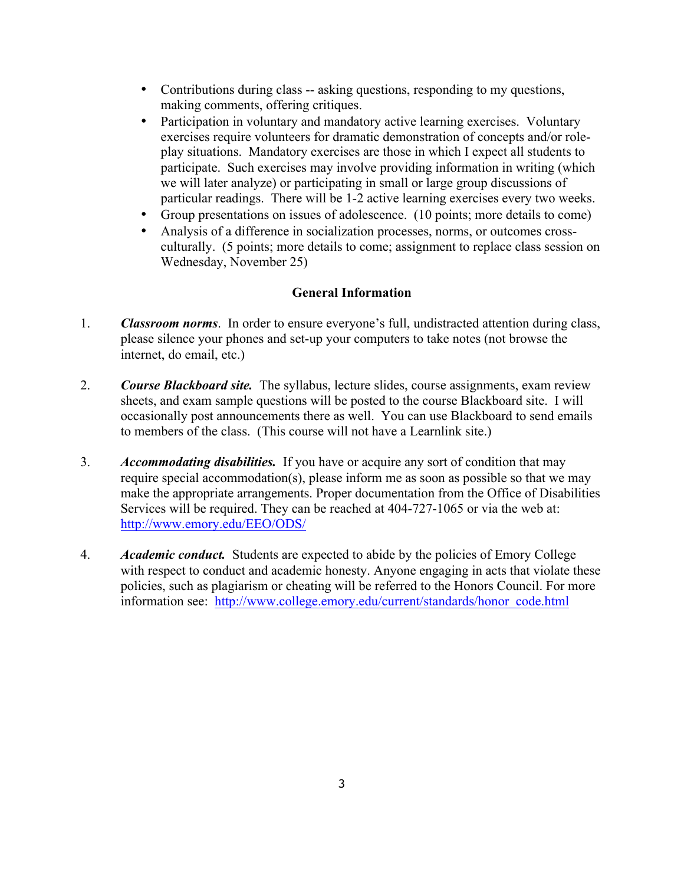- Contributions during class -- asking questions, responding to my questions, making comments, offering critiques.
- Participation in voluntary and mandatory active learning exercises. Voluntary exercises require volunteers for dramatic demonstration of concepts and/or roleplay situations. Mandatory exercises are those in which I expect all students to participate. Such exercises may involve providing information in writing (which we will later analyze) or participating in small or large group discussions of particular readings. There will be 1-2 active learning exercises every two weeks.
- Group presentations on issues of adolescence. (10 points; more details to come)
- Analysis of a difference in socialization processes, norms, or outcomes crossculturally. (5 points; more details to come; assignment to replace class session on Wednesday, November 25)

## **General Information**

- 1. *Classroom norms*. In order to ensure everyone's full, undistracted attention during class, please silence your phones and set-up your computers to take notes (not browse the internet, do email, etc.)
- 2. *Course Blackboard site.* The syllabus, lecture slides, course assignments, exam review sheets, and exam sample questions will be posted to the course Blackboard site. I will occasionally post announcements there as well. You can use Blackboard to send emails to members of the class. (This course will not have a Learnlink site.)
- 3. *Accommodating disabilities.* If you have or acquire any sort of condition that may require special accommodation(s), please inform me as soon as possible so that we may make the appropriate arrangements. Proper documentation from the Office of Disabilities Services will be required. They can be reached at 404-727-1065 or via the web at: http://www.emory.edu/EEO/ODS/
- 4. *Academic conduct.* Students are expected to abide by the policies of Emory College with respect to conduct and academic honesty. Anyone engaging in acts that violate these policies, such as plagiarism or cheating will be referred to the Honors Council. For more information see: http://www.college.emory.edu/current/standards/honor\_code.html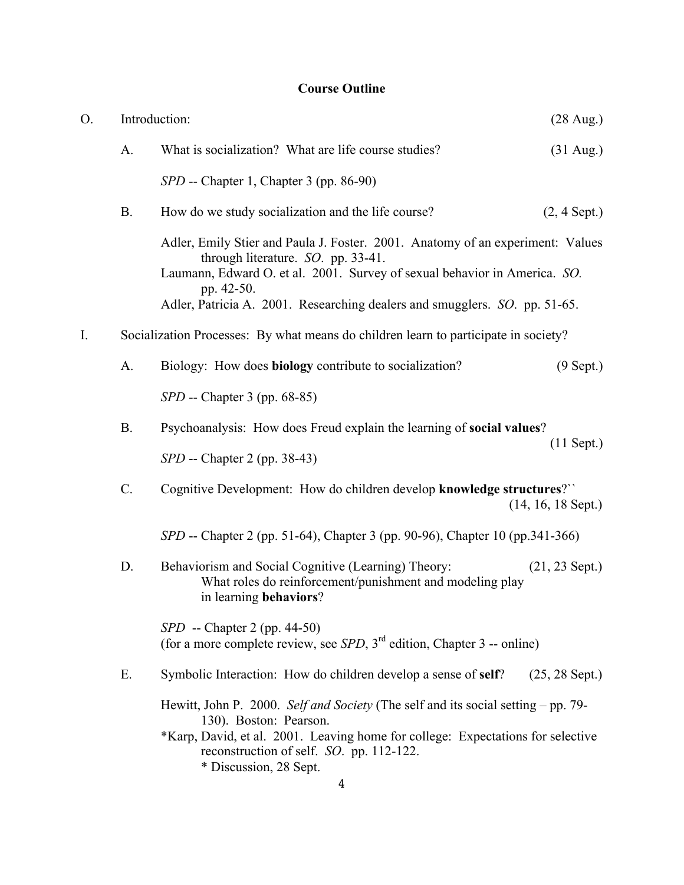# **Course Outline**

| O. | Introduction:   |                                                                                                                                                                                                                                                                      | $(28 \text{ Aug.})$  |  |  |
|----|-----------------|----------------------------------------------------------------------------------------------------------------------------------------------------------------------------------------------------------------------------------------------------------------------|----------------------|--|--|
|    | A.              | What is socialization? What are life course studies?                                                                                                                                                                                                                 | $(31 \text{ Aug.})$  |  |  |
|    |                 | SPD -- Chapter 1, Chapter 3 (pp. 86-90)                                                                                                                                                                                                                              |                      |  |  |
|    | <b>B.</b>       | How do we study socialization and the life course?                                                                                                                                                                                                                   | $(2, 4$ Sept.)       |  |  |
|    |                 | Adler, Emily Stier and Paula J. Foster. 2001. Anatomy of an experiment: Values<br>through literature. SO. pp. 33-41.<br>Laumann, Edward O. et al. 2001. Survey of sexual behavior in America. SO.<br>pp. 42-50.                                                      |                      |  |  |
|    |                 | Adler, Patricia A. 2001. Researching dealers and smugglers. SO. pp. 51-65.                                                                                                                                                                                           |                      |  |  |
| I. |                 | Socialization Processes: By what means do children learn to participate in society?                                                                                                                                                                                  |                      |  |  |
|    | A.              | Biology: How does <b>biology</b> contribute to socialization?                                                                                                                                                                                                        | $(9$ Sept.)          |  |  |
|    |                 | <i>SPD</i> -- Chapter 3 (pp. 68-85)                                                                                                                                                                                                                                  |                      |  |  |
|    | <b>B.</b>       | Psychoanalysis: How does Freud explain the learning of social values?                                                                                                                                                                                                |                      |  |  |
|    |                 | <i>SPD</i> -- Chapter 2 (pp. 38-43)                                                                                                                                                                                                                                  | $(11$ Sept.)         |  |  |
|    | $\mathcal{C}$ . | Cognitive Development: How do children develop knowledge structures?"                                                                                                                                                                                                | $(14, 16, 18$ Sept.) |  |  |
|    |                 | SPD -- Chapter 2 (pp. 51-64), Chapter 3 (pp. 90-96), Chapter 10 (pp.341-366)                                                                                                                                                                                         |                      |  |  |
|    | D.              | Behaviorism and Social Cognitive (Learning) Theory:<br>What roles do reinforcement/punishment and modeling play<br>in learning behaviors?                                                                                                                            | $(21, 23$ Sept.)     |  |  |
|    |                 | <i>SPD</i> -- Chapter 2 (pp. 44-50)<br>(for a more complete review, see $SPD$ , $3rd$ edition, Chapter 3 -- online)                                                                                                                                                  |                      |  |  |
|    | Ε.              | Symbolic Interaction: How do children develop a sense of self?                                                                                                                                                                                                       | $(25, 28$ Sept.)     |  |  |
|    |                 | Hewitt, John P. 2000. Self and Society (The self and its social setting – pp. 79-<br>130). Boston: Pearson.<br>*Karp, David, et al. 2001. Leaving home for college: Expectations for selective<br>reconstruction of self. SO. pp. 112-122.<br>* Discussion, 28 Sept. |                      |  |  |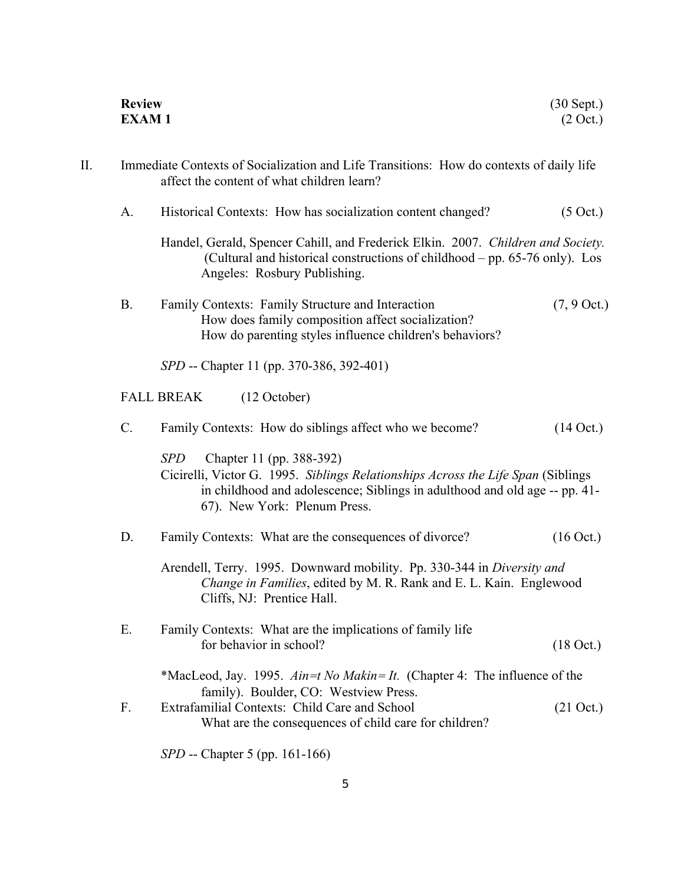|    | <b>Review</b><br><b>EXAM1</b> |                                                                                                                                                                                                                                   | $(30$ Sept.)<br>$(2 \text{ Oct.})$ |
|----|-------------------------------|-----------------------------------------------------------------------------------------------------------------------------------------------------------------------------------------------------------------------------------|------------------------------------|
| П. |                               | Immediate Contexts of Socialization and Life Transitions: How do contexts of daily life<br>affect the content of what children learn?                                                                                             |                                    |
|    | A.                            | Historical Contexts: How has socialization content changed?                                                                                                                                                                       | $(5 \text{ Oct.})$                 |
|    |                               | Handel, Gerald, Spencer Cahill, and Frederick Elkin. 2007. Children and Society.<br>(Cultural and historical constructions of childhood – pp. 65-76 only). Los<br>Angeles: Rosbury Publishing.                                    |                                    |
|    | <b>B.</b>                     | Family Contexts: Family Structure and Interaction<br>How does family composition affect socialization?<br>How do parenting styles influence children's behaviors?                                                                 | $(7, 9$ Oct.)                      |
|    |                               | SPD -- Chapter 11 (pp. 370-386, 392-401)                                                                                                                                                                                          |                                    |
|    |                               | (12 October)<br><b>FALL BREAK</b>                                                                                                                                                                                                 |                                    |
|    | $C$ .                         | Family Contexts: How do siblings affect who we become?                                                                                                                                                                            | $(14$ Oct.)                        |
|    |                               | SPD<br>Chapter 11 (pp. 388-392)<br>Cicirelli, Victor G. 1995. Siblings Relationships Across the Life Span (Siblings<br>in childhood and adolescence; Siblings in adulthood and old age -- pp. 41-<br>67). New York: Plenum Press. |                                    |
|    | D.                            | Family Contexts: What are the consequences of divorce?                                                                                                                                                                            | $(16$ Oct.)                        |
|    |                               | Arendell, Terry. 1995. Downward mobility. Pp. 330-344 in Diversity and<br>Change in Families, edited by M. R. Rank and E. L. Kain. Englewood<br>Cliffs, NJ: Prentice Hall.                                                        |                                    |
|    | Е.                            | Family Contexts: What are the implications of family life<br>for behavior in school?                                                                                                                                              | $(18 \text{ Oct.})$                |
|    |                               | *MacLeod, Jay. 1995. $A$ in=t No Makin= It. (Chapter 4: The influence of the                                                                                                                                                      |                                    |
|    | F.                            | family). Boulder, CO: Westview Press.<br>Extrafamilial Contexts: Child Care and School<br>What are the consequences of child care for children?                                                                                   | $(21 \text{ Oct.})$                |
|    |                               | SPD -- Chapter 5 (pp. 161-166)                                                                                                                                                                                                    |                                    |

5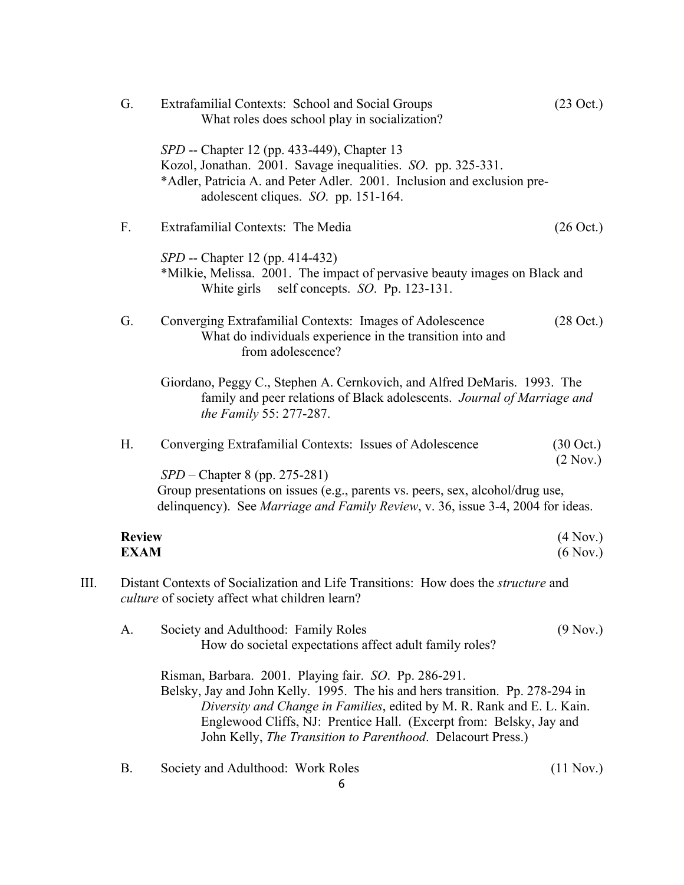|    | G.                           | Extrafamilial Contexts: School and Social Groups<br>What roles does school play in socialization?                                                                                                                                                                                                                                                      |                                 |  |
|----|------------------------------|--------------------------------------------------------------------------------------------------------------------------------------------------------------------------------------------------------------------------------------------------------------------------------------------------------------------------------------------------------|---------------------------------|--|
|    |                              | SPD -- Chapter 12 (pp. 433-449), Chapter 13<br>Kozol, Jonathan. 2001. Savage inequalities. SO. pp. 325-331.<br>*Adler, Patricia A. and Peter Adler. 2001. Inclusion and exclusion pre-<br>adolescent cliques. SO. pp. 151-164.                                                                                                                         |                                 |  |
|    | F.                           | Extrafamilial Contexts: The Media                                                                                                                                                                                                                                                                                                                      | $(26 \text{ Oct.})$             |  |
|    |                              | SPD -- Chapter 12 (pp. 414-432)<br>*Milkie, Melissa. 2001. The impact of pervasive beauty images on Black and<br>self concepts. $SO.$ Pp. 123-131.<br>White girls                                                                                                                                                                                      |                                 |  |
|    | G.                           | Converging Extrafamilial Contexts: Images of Adolescence<br>What do individuals experience in the transition into and<br>from adolescence?                                                                                                                                                                                                             | $(28 \text{ Oct.})$             |  |
|    |                              | Giordano, Peggy C., Stephen A. Cernkovich, and Alfred DeMaris. 1993. The<br>family and peer relations of Black adolescents. Journal of Marriage and<br><i>the Family 55: 277-287.</i>                                                                                                                                                                  |                                 |  |
|    | H.                           | Converging Extrafamilial Contexts: Issues of Adolescence                                                                                                                                                                                                                                                                                               | $(30 \text{ Oct.})$<br>(2 Nov.) |  |
|    |                              | $SPD$ – Chapter 8 (pp. 275-281)<br>Group presentations on issues (e.g., parents vs. peers, sex, alcohol/drug use,<br>delinquency). See Marriage and Family Review, v. 36, issue 3-4, 2004 for ideas.                                                                                                                                                   |                                 |  |
|    | <b>Review</b><br><b>EXAM</b> |                                                                                                                                                                                                                                                                                                                                                        | $(4$ Nov.)<br>(6 Nov.)          |  |
| Ш. |                              | Distant Contexts of Socialization and Life Transitions: How does the structure and<br><i>culture</i> of society affect what children learn?                                                                                                                                                                                                            |                                 |  |
|    | A.                           | Society and Adulthood: Family Roles<br>How do societal expectations affect adult family roles?                                                                                                                                                                                                                                                         | (9 Nov.)                        |  |
|    |                              | Risman, Barbara. 2001. Playing fair. SO. Pp. 286-291.<br>Belsky, Jay and John Kelly. 1995. The his and hers transition. Pp. 278-294 in<br>Diversity and Change in Families, edited by M. R. Rank and E. L. Kain.<br>Englewood Cliffs, NJ: Prentice Hall. (Excerpt from: Belsky, Jay and<br>John Kelly, The Transition to Parenthood. Delacourt Press.) |                                 |  |
|    | Β.                           | Society and Adulthood: Work Roles                                                                                                                                                                                                                                                                                                                      | (11 Nov.)                       |  |

 $\overline{6}$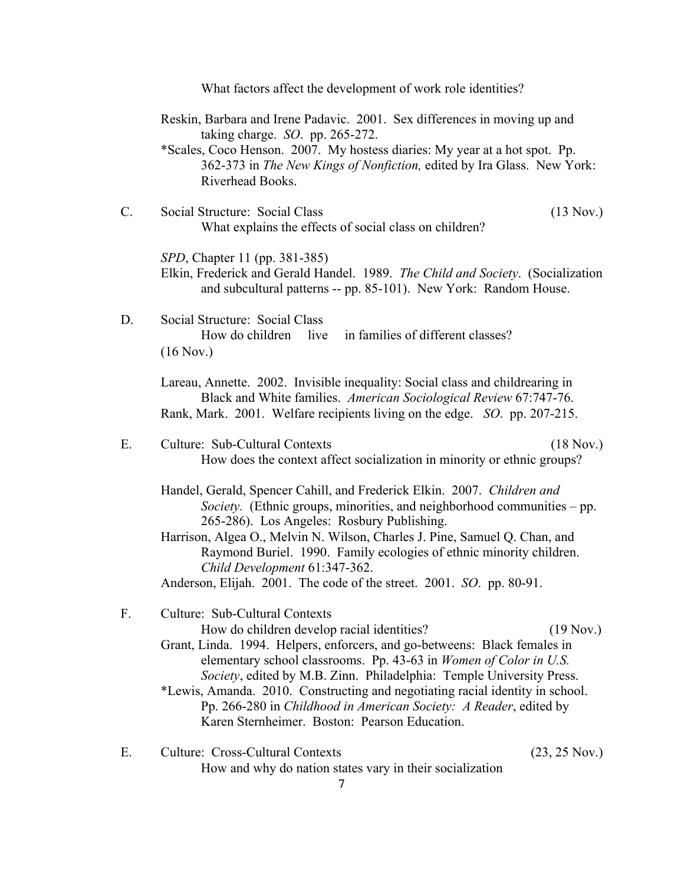7 What factors affect the development of work role identities? Reskin, Barbara and Irene Padavic. 2001. Sex differences in moving up and taking charge. *SO*. pp. 265-272. \*Scales, Coco Henson. 2007. My hostess diaries: My year at a hot spot. Pp. 362-373 in *The New Kings of Nonfiction,* edited by Ira Glass. New York: Riverhead Books. C. Social Structure: Social Class (13 Nov.) What explains the effects of social class on children? *SPD*, Chapter 11 (pp. 381-385) Elkin, Frederick and Gerald Handel. 1989. *The Child and Society*. (Socialization and subcultural patterns -- pp. 85-101). New York: Random House. D. Social Structure: Social Class How do children live in families of different classes? (16 Nov.) Lareau, Annette. 2002. Invisible inequality: Social class and childrearing in Black and White families. *American Sociological Review* 67:747-76. Rank, Mark. 2001. Welfare recipients living on the edge. *SO*. pp. 207-215. E. Culture: Sub-Cultural Contexts (18 Nov.) How does the context affect socialization in minority or ethnic groups? Handel, Gerald, Spencer Cahill, and Frederick Elkin. 2007. *Children and Society.* (Ethnic groups, minorities, and neighborhood communities – pp. 265-286). Los Angeles: Rosbury Publishing. Harrison, Algea O., Melvin N. Wilson, Charles J. Pine, Samuel Q. Chan, and Raymond Buriel. 1990. Family ecologies of ethnic minority children. *Child Development* 61:347-362. Anderson, Elijah. 2001. The code of the street. 2001. *SO*. pp. 80-91. F. Culture: Sub-Cultural Contexts How do children develop racial identities? (19 Nov.) Grant, Linda. 1994. Helpers, enforcers, and go-betweens: Black females in elementary school classrooms. Pp. 43-63 in *Women of Color in U.S. Society*, edited by M.B. Zinn. Philadelphia: Temple University Press. \*Lewis, Amanda. 2010. Constructing and negotiating racial identity in school. Pp. 266-280 in *Childhood in American Society: A Reader*, edited by Karen Sternheimer. Boston: Pearson Education. E. Culture: Cross-Cultural Contexts (23, 25 Nov.) How and why do nation states vary in their socialization